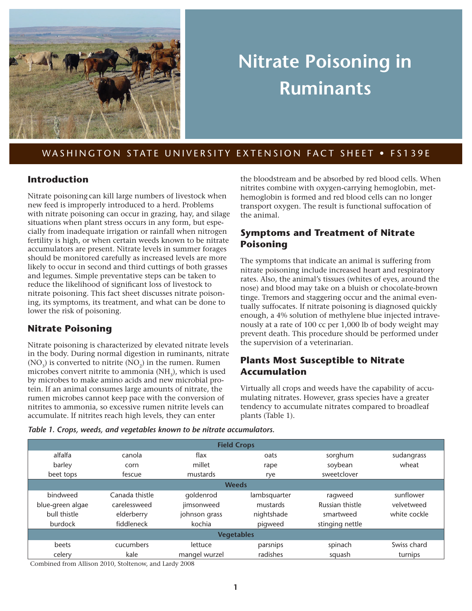

# **Nitrate Poisoning in Ruminants**

WASHINGTON STATE UNIVERSITY EXTENSION FACT SHEET . FS139E

### **Introduction**

Nitrate poisoning can kill large numbers of livestock when new feed is improperly introduced to a herd. Problems with nitrate poisoning can occur in grazing, hay, and silage situations when plant stress occurs in any form, but especially from inadequate irrigation or rainfall when nitrogen fertility is high, or when certain weeds known to be nitrate accumulators are present. Nitrate levels in summer forages should be monitored carefully as increased levels are more likely to occur in second and third cuttings of both grasses and legumes. Simple preventative steps can be taken to reduce the likelihood of significant loss of livestock to nitrate poisoning. This fact sheet discusses nitrate poisoning, its symptoms, its treatment, and what can be done to lower the risk of poisoning.

### **Nitrate Poisoning**

Nitrate poisoning is characterized by elevated nitrate levels in the body. During normal digestion in ruminants, nitrate  $(NO<sub>2</sub>)$  is converted to nitrite  $(NO<sub>2</sub>)$  in the rumen. Rumen microbes convert nitrite to ammonia  $(NH<sub>3</sub>)$ , which is used by microbes to make amino acids and new microbial protein. If an animal consumes large amounts of nitrate, the rumen microbes cannot keep pace with the conversion of nitrites to ammonia, so excessive rumen nitrite levels can accumulate. If nitrites reach high levels, they can enter

the bloodstream and be absorbed by red blood cells. When nitrites combine with oxygen-carrying hemoglobin, methemoglobin is formed and red blood cells can no longer transport oxygen. The result is functional suffocation of the animal.

## **Symptoms and Treatment of Nitrate Poisoning**

The symptoms that indicate an animal is suffering from nitrate poisoning include increased heart and respiratory rates. Also, the animal's tissues (whites of eyes, around the nose) and blood may take on a bluish or chocolate-brown tinge. Tremors and staggering occur and the animal eventually suffocates. If nitrate poisoning is diagnosed quickly enough, a 4% solution of methylene blue injected intravenously at a rate of 100 cc per 1,000 lb of body weight may prevent death. This procedure should be performed under the supervision of a veterinarian.

## **Plants Most Susceptible to Nitrate Accumulation**

Virtually all crops and weeds have the capability of accumulating nitrates. However, grass species have a greater tendency to accumulate nitrates compared to broadleaf plants (Table 1).

| Table 1. Crops, weeds, and vegetables known to be nitrate accumulators. |  |
|-------------------------------------------------------------------------|--|
|-------------------------------------------------------------------------|--|

| <b>Field Crops</b> |                |               |              |                 |              |  |
|--------------------|----------------|---------------|--------------|-----------------|--------------|--|
| alfalfa            | canola         | flax          | oats         | sorghum         | sudangrass   |  |
| barley             | corn           | millet        | rape         | soybean         | wheat        |  |
| beet tops          | fescue         | mustards      | rye          | sweetclover     |              |  |
|                    | <b>Weeds</b>   |               |              |                 |              |  |
| bindweed           | Canada thistle | goldenrod     | lambsquarter | ragweed         | sunflower    |  |
| blue-green algae   | carelessweed   | jimsonweed    | mustards     | Russian thistle | velvetweed   |  |
| bull thistle       | elderberry     | johnson grass | nightshade   | smartweed       | white cockle |  |
| burdock            | fiddleneck     | kochia        | pigweed      | stinging nettle |              |  |
| <b>Vegetables</b>  |                |               |              |                 |              |  |
| beets              | cucumbers      | lettuce       | parsnips     | spinach         | Swiss chard  |  |
| celery             | kale           | mangel wurzel | radishes     | squash          | turnips      |  |

Combined from Allison 2010, Stoltenow, and Lardy 2008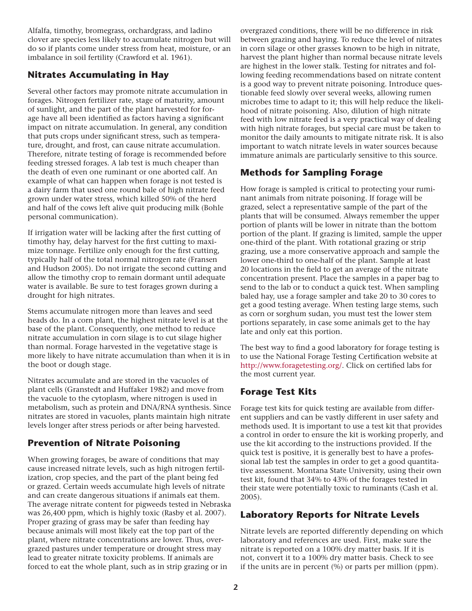Alfalfa, timothy, bromegrass, orchardgrass, and ladino clover are species less likely to accumulate nitrogen but will do so if plants come under stress from heat, moisture, or an imbalance in soil fertility (Crawford et al. 1961).

## **Nitrates Accumulating in Hay**

Several other factors may promote nitrate accumulation in forages. Nitrogen fertilizer rate, stage of maturity, amount of sunlight, and the part of the plant harvested for forage have all been identified as factors having a significant impact on nitrate accumulation. In general, any condition that puts crops under significant stress, such as temperature, drought, and frost, can cause nitrate accumulation. Therefore, nitrate testing of forage is recommended before feeding stressed forages. A lab test is much cheaper than the death of even one ruminant or one aborted calf. An example of what can happen when forage is not tested is a dairy farm that used one round bale of high nitrate feed grown under water stress, which killed 50% of the herd and half of the cows left alive quit producing milk (Bohle personal communication).

If irrigation water will be lacking after the first cutting of timothy hay, delay harvest for the first cutting to maximize tonnage. Fertilize only enough for the first cutting, typically half of the total normal nitrogen rate (Fransen and Hudson 2005). Do not irrigate the second cutting and allow the timothy crop to remain dormant until adequate water is available. Be sure to test forages grown during a drought for high nitrates.

Stems accumulate nitrogen more than leaves and seed heads do. In a corn plant, the highest nitrate level is at the base of the plant. Consequently, one method to reduce nitrate accumulation in corn silage is to cut silage higher than normal. Forage harvested in the vegetative stage is more likely to have nitrate accumulation than when it is in the boot or dough stage.

Nitrates accumulate and are stored in the vacuoles of plant cells (Granstedt and Huffaker 1982) and move from the vacuole to the cytoplasm, where nitrogen is used in metabolism, such as protein and DNA/RNA synthesis. Since nitrates are stored in vacuoles, plants maintain high nitrate levels longer after stress periods or after being harvested.

## **Prevention of Nitrate Poisoning**

When growing forages, be aware of conditions that may cause increased nitrate levels, such as high nitrogen fertilization, crop species, and the part of the plant being fed or grazed. Certain weeds accumulate high levels of nitrate and can create dangerous situations if animals eat them. The average nitrate content for pigweeds tested in Nebraska was 26,400 ppm, which is highly toxic (Rasby et al. 2007). Proper grazing of grass may be safer than feeding hay because animals will most likely eat the top part of the plant, where nitrate concentrations are lower. Thus, overgrazed pastures under temperature or drought stress may lead to greater nitrate toxicity problems. If animals are forced to eat the whole plant, such as in strip grazing or in

overgrazed conditions, there will be no difference in risk between grazing and haying. To reduce the level of nitrates in corn silage or other grasses known to be high in nitrate, harvest the plant higher than normal because nitrate levels are highest in the lower stalk. Testing for nitrates and following feeding recommendations based on nitrate content is a good way to prevent nitrate poisoning. Introduce questionable feed slowly over several weeks, allowing rumen microbes time to adapt to it; this will help reduce the likelihood of nitrate poisoning. Also, dilution of high nitrate feed with low nitrate feed is a very practical way of dealing with high nitrate forages, but special care must be taken to monitor the daily amounts to mitigate nitrate risk. It is also important to watch nitrate levels in water sources because immature animals are particularly sensitive to this source.

# **Methods for Sampling Forage**

How forage is sampled is critical to protecting your ruminant animals from nitrate poisoning. If forage will be grazed, select a representative sample of the part of the plants that will be consumed. Always remember the upper portion of plants will be lower in nitrate than the bottom portion of the plant. If grazing is limited, sample the upper one-third of the plant. With rotational grazing or strip grazing, use a more conservative approach and sample the lower one-third to one-half of the plant. Sample at least 20 locations in the field to get an average of the nitrate concentration present. Place the samples in a paper bag to send to the lab or to conduct a quick test. When sampling baled hay, use a forage sampler and take 20 to 30 cores to get a good testing average. When testing large stems, such as corn or sorghum sudan, you must test the lower stem portions separately, in case some animals get to the hay late and only eat this portion.

The best way to find a good laboratory for forage testing is to use the National Forage Testing Certification website at [http://www.foragetesting.org/.](http://www.foragetesting.org/) Click on certified labs for the most current year.

## **Forage Test Kits**

Forage test kits for quick testing are available from different suppliers and can be vastly different in user safety and methods used. It is important to use a test kit that provides a control in order to ensure the kit is working properly, and use the kit according to the instructions provided. If the quick test is positive, it is generally best to have a professional lab test the samples in order to get a good quantitative assessment. Montana State University, using their own test kit, found that 34% to 43% of the forages tested in their state were potentially toxic to ruminants (Cash et al. 2005).

### **Laboratory Reports for Nitrate Levels**

Nitrate levels are reported differently depending on which laboratory and references are used. First, make sure the nitrate is reported on a 100% dry matter basis. If it is not, convert it to a 100% dry matter basis. Check to see if the units are in percent (%) or parts per million (ppm).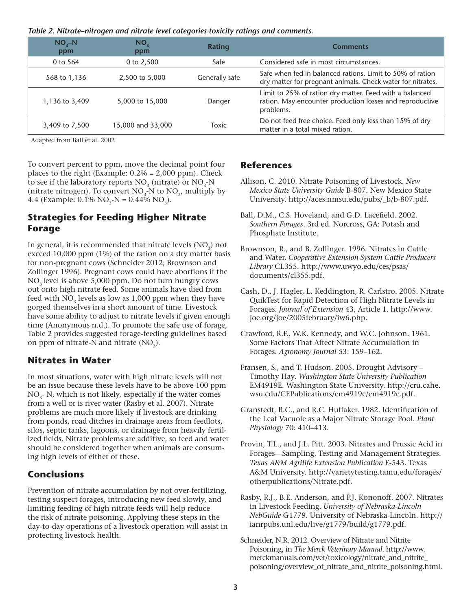| Table 2. Nitrate-nitrogen and nitrate level categories toxicity ratings and comments. |  |  |  |
|---------------------------------------------------------------------------------------|--|--|--|
|                                                                                       |  |  |  |

| $NO, -N$<br>ppm | NO,<br>ppm        | Rating         | <b>Comments</b>                                                                                                                  |
|-----------------|-------------------|----------------|----------------------------------------------------------------------------------------------------------------------------------|
| 0 to 564        | 0 to $2,500$      | Safe           | Considered safe in most circumstances.                                                                                           |
| 568 to 1,136    | 2,500 to 5,000    | Generally safe | Safe when fed in balanced rations. Limit to 50% of ration<br>dry matter for pregnant animals. Check water for nitrates.          |
| 1,136 to 3,409  | 5,000 to 15,000   | Danger         | Limit to 25% of ration dry matter. Feed with a balanced<br>ration. May encounter production losses and reproductive<br>problems. |
| 3,409 to 7,500  | 15,000 and 33,000 | <b>Toxic</b>   | Do not feed free choice. Feed only less than 15% of dry<br>matter in a total mixed ration.                                       |

Adapted from Ball et al. 2002

To convert percent to ppm, move the decimal point four places to the right (Example:  $0.2\% = 2,000$  ppm). Check to see if the laboratory reports  $NO<sub>3</sub>$  (nitrate) or  $NO<sub>3</sub>-N$ (nitrate nitrogen). To convert  $NO<sub>3</sub>$ -N to  $NO<sub>3</sub>$ , multiply by 4.4 (Example: 0.1%  $NO_3-N = 0.44\% NO_3$ ).

#### **Strategies for Feeding Higher Nitrate Forage**

In general, it is recommended that nitrate levels  $(NO<sub>3</sub>)$  not exceed 10,000 ppm (1%) of the ration on a dry matter basis for non-pregnant cows (Schneider 2012; Brownson and Zollinger 1996). Pregnant cows could have abortions if the NO<sub>2</sub> level is above 5,000 ppm. Do not turn hungry cows out onto high nitrate feed. Some animals have died from feed with  $NO<sub>3</sub>$  levels as low as 1,000 ppm when they have gorged themselves in a short amount of time. Livestock have some ability to adjust to nitrate levels if given enough time (Anonymous n.d.). To promote the safe use of forage, Table 2 provides suggested forage-feeding guidelines based on ppm of nitrate-N and nitrate  $(NO<sub>3</sub>)$ .

#### **Nitrates in Water**

In most situations, water with high nitrate levels will not be an issue because these levels have to be above 100 ppm NO<sub>2</sub>- N, which is not likely, especially if the water comes from a well or is river water (Rasby et al. 2007). Nitrate problems are much more likely if livestock are drinking from ponds, road ditches in drainage areas from feedlots, silos, septic tanks, lagoons, or drainage from heavily fertilized fields. Nitrate problems are additive, so feed and water should be considered together when animals are consuming high levels of either of these.

#### **Conclusions**

Prevention of nitrate accumulation by not over-fertilizing, testing suspect forages, introducing new feed slowly, and limiting feeding of high nitrate feeds will help reduce the risk of nitrate poisoning. Applying these steps in the day-to-day operations of a livestock operation will assist in protecting livestock health.

#### **References**

- Allison, C. 2010. Nitrate Poisoning of Livestock. *New Mexico State University Guide* B-807. New Mexico State University. [http://aces.nmsu.edu/pubs/\\_b/b-807.pdf](http://aces.nmsu.edu/pubs/_b/b-807.pdf).
- Ball, D.M., C.S. Hoveland, and G.D. Lacefield. 2002. *Southern Forages*. 3rd ed. Norcross, GA: Potash and Phosphate Institute.
- Brownson, R., and B. Zollinger. 1996. Nitrates in Cattle and Water. *Cooperative Extension System Cattle Producers Library* CL355. [http://www.uwyo.edu/ces/psas/](http://www.uwyo.edu/ces/psas/documents/cl355.pdf) [documents/cl355.pdf](http://www.uwyo.edu/ces/psas/documents/cl355.pdf).
- Cash, D., J. Hagler, L. Keddington, R. Carlstro. 2005. Nitrate QuikTest for Rapid Detection of High Nitrate Levels in Forages. *Journal of Extension* 43, Article 1. [http://www.](http://www.joe.org/joe/2005february/iw6.php) [joe.org/joe/2005february/iw6.php](http://www.joe.org/joe/2005february/iw6.php).
- Crawford, R.F., W.K. Kennedy, and W.C. Johnson. 1961. Some Factors That Affect Nitrate Accumulation in Forages. *Agronomy Journal* 53: 159–162.
- Fransen, S., and T. Hudson. 2005. Drought Advisory Timothy Hay. *Washington State University Publication*  EM4919E. Washington State University. [http://cru.cahe.](http://cru.cahe.wsu.edu/CEPublications/em4919e/em4919e.pdf) [wsu.edu/CEPublications/em4919e/em4919e.pdf](http://cru.cahe.wsu.edu/CEPublications/em4919e/em4919e.pdf).
- Granstedt, R.C., and R.C. Huffaker. 1982. Identification of the Leaf Vacuole as a Major Nitrate Storage Pool. *Plant Physiology* 70: 410–413.
- Provin, T.L., and J.L. Pitt. 2003. Nitrates and Prussic Acid in Forages—Sampling, Testing and Management Strategies. *Texas A&M Agrilife Extension Publication* E-543. Texas A&M University. [http://varietytesting.tamu.edu/forages/](http://varietytesting.tamu.edu/forages/otherpublications/Nitrate.pdf) [otherpublications/Nitrate.pdf](http://varietytesting.tamu.edu/forages/otherpublications/Nitrate.pdf).
- Rasby, R.J., B.E. Anderson, and P.J. Kononoff. 2007. Nitrates in Livestock Feeding. *University of Nebraska-Lincoln NebGuide* G1779. University of Nebraska-Lincoln. [http://](http://ianrpubs.unl.edu/live/g1779/build/g1779.pdf) [ianrpubs.unl.edu/live/g1779/build/g1779.pdf](http://ianrpubs.unl.edu/live/g1779/build/g1779.pdf).
- Schneider, N.R. 2012. Overview of Nitrate and Nitrite Poisoning, in *The Merck Veterinary Manual*. [http://www.](http://www.merckmanuals.com/vet/toxicology/nitrate_and_nitrite_poisoning/overview_of_nitrate_and_nitrite_poisoning.html) [merckmanuals.com/vet/toxicology/nitrate\\_and\\_nitrite\\_](http://www.merckmanuals.com/vet/toxicology/nitrate_and_nitrite_poisoning/overview_of_nitrate_and_nitrite_poisoning.html) [poisoning/overview\\_of\\_nitrate\\_and\\_nitrite\\_poisoning.html](http://www.merckmanuals.com/vet/toxicology/nitrate_and_nitrite_poisoning/overview_of_nitrate_and_nitrite_poisoning.html).